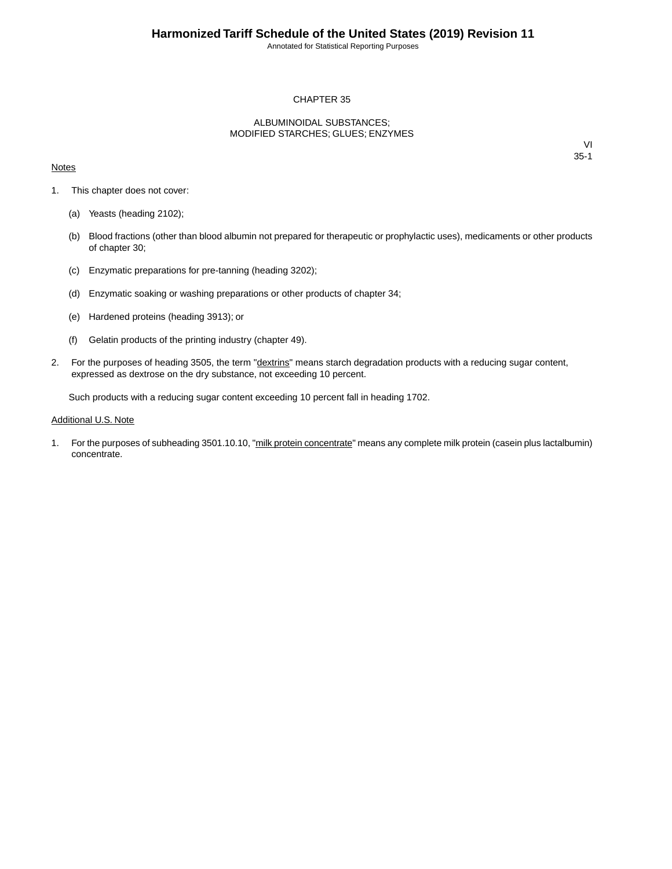Annotated for Statistical Reporting Purposes

## CHAPTER 35

### ALBUMINOIDAL SUBSTANCES; MODIFIED STARCHES; GLUES; ENZYMES

### **Notes**

VI 35-1

- 1. This chapter does not cover:
	- (a) Yeasts (heading 2102);
	- (b) Blood fractions (other than blood albumin not prepared for therapeutic or prophylactic uses), medicaments or other products of chapter 30;
	- (c) Enzymatic preparations for pre-tanning (heading 3202);
	- (d) Enzymatic soaking or washing preparations or other products of chapter 34;
	- (e) Hardened proteins (heading 3913); or
	- (f) Gelatin products of the printing industry (chapter 49).
- 2. For the purposes of heading 3505, the term "dextrins" means starch degradation products with a reducing sugar content, expressed as dextrose on the dry substance, not exceeding 10 percent.

Such products with a reducing sugar content exceeding 10 percent fall in heading 1702.

#### Additional U.S. Note

1. For the purposes of subheading 3501.10.10, "milk protein concentrate" means any complete milk protein (casein plus lactalbumin) concentrate.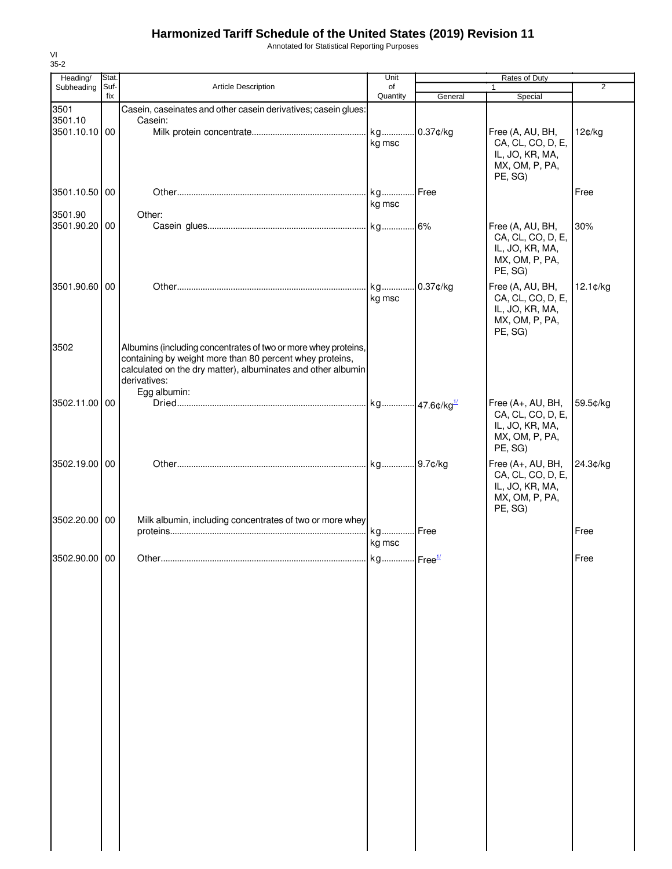## **Harmonized Tariff Schedule of the United States (2019) Revision 11**

Annotated for Statistical Reporting Purposes

| $35 - 2$      |             |                                                                                                                                                                                                                            |                       |          |                                                                                        |          |
|---------------|-------------|----------------------------------------------------------------------------------------------------------------------------------------------------------------------------------------------------------------------------|-----------------------|----------|----------------------------------------------------------------------------------------|----------|
| Heading/      | Stat.       |                                                                                                                                                                                                                            | Unit                  |          | Rates of Duty                                                                          |          |
| Subheading    | Suf-<br>fix | Article Description                                                                                                                                                                                                        | of<br>Quantity        | General  | 1<br>Special                                                                           | 2        |
| 3501          |             |                                                                                                                                                                                                                            |                       |          |                                                                                        |          |
| 3501.10       |             | Casein, caseinates and other casein derivatives; casein glues:<br>Casein:                                                                                                                                                  |                       |          |                                                                                        |          |
| 3501.10.10    | 00          |                                                                                                                                                                                                                            | kg<br>kg msc          | 0.37¢/kg | Free (A, AU, BH,<br>CA, CL, CO, D, E,<br>IL, JO, KR, MA,<br>MX, OM, P, PA,             | 12¢/kg   |
|               |             |                                                                                                                                                                                                                            |                       |          | PE, SG)                                                                                |          |
| 3501.10.50 00 |             |                                                                                                                                                                                                                            | kg<br>kg msc          | Free     |                                                                                        | Free     |
| 3501.90       |             | Other:                                                                                                                                                                                                                     |                       |          |                                                                                        |          |
| 3501.90.20 00 |             |                                                                                                                                                                                                                            |                       |          | Free (A, AU, BH,<br>CA, CL, CO, D, E,<br>IL, JO, KR, MA,<br>MX, OM, P, PA,<br>PE, SG)  | 30%      |
| 3501.90.60 00 |             |                                                                                                                                                                                                                            | kg<br>kg msc          | 0.37¢/kg | Free (A, AU, BH,<br>CA, CL, CO, D, E,<br>IL, JO, KR, MA,<br>MX, OM, P, PA,<br>PE, SG)  | 12.1¢/kg |
| 3502          |             | Albumins (including concentrates of two or more whey proteins,<br>containing by weight more than 80 percent whey proteins,<br>calculated on the dry matter), albuminates and other albumin<br>derivatives:<br>Egg albumin: |                       |          |                                                                                        |          |
| 3502.11.00 00 |             |                                                                                                                                                                                                                            |                       |          | Free (A+, AU, BH,                                                                      | 59.5¢/kg |
|               |             |                                                                                                                                                                                                                            |                       |          | CA, CL, CO, D, E,<br>IL, JO, KR, MA,<br>MX, OM, P, PA,<br>PE, SG)                      |          |
| 3502.19.00 00 |             |                                                                                                                                                                                                                            |                       |          | Free (A+, AU, BH,<br>CA, CL, CO, D, E,<br>IL, JO, KR, MA,<br>MX, OM, P, PA,<br>PE, SG) | 24.3¢/kg |
| 3502.20.00 00 |             | Milk albumin, including concentrates of two or more whey                                                                                                                                                                   |                       |          |                                                                                        |          |
|               |             |                                                                                                                                                                                                                            | kg                    | Free     |                                                                                        | Free     |
|               |             |                                                                                                                                                                                                                            | kg msc                |          |                                                                                        |          |
| 3502.90.00 00 |             |                                                                                                                                                                                                                            | kg Free <sup>1/</sup> |          |                                                                                        | Free     |
|               |             |                                                                                                                                                                                                                            |                       |          |                                                                                        |          |
|               |             |                                                                                                                                                                                                                            |                       |          |                                                                                        |          |
|               |             |                                                                                                                                                                                                                            |                       |          |                                                                                        |          |
|               |             |                                                                                                                                                                                                                            |                       |          |                                                                                        |          |
|               |             |                                                                                                                                                                                                                            |                       |          |                                                                                        |          |
|               |             |                                                                                                                                                                                                                            |                       |          |                                                                                        |          |
|               |             |                                                                                                                                                                                                                            |                       |          |                                                                                        |          |
|               |             |                                                                                                                                                                                                                            |                       |          |                                                                                        |          |

VI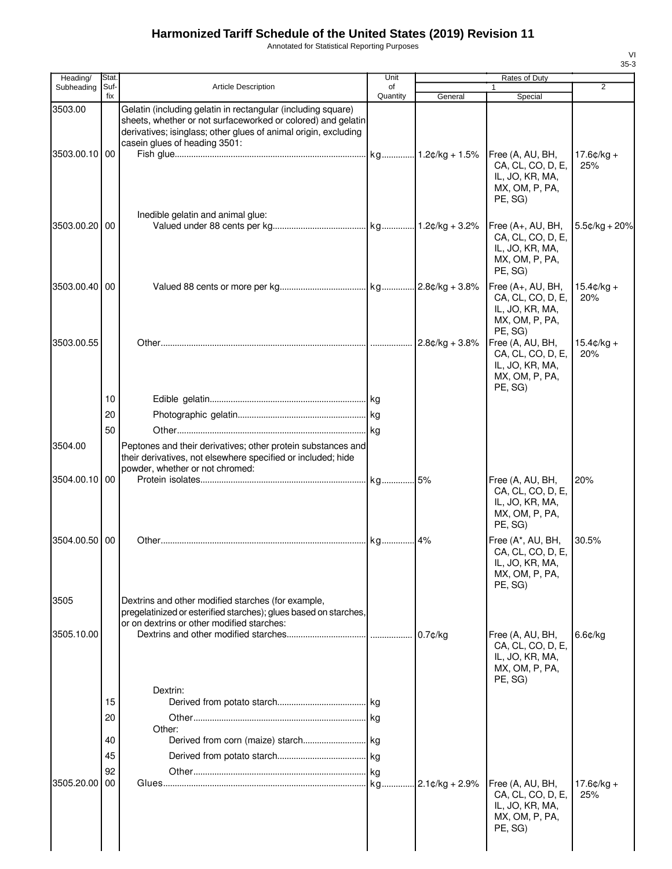# **Harmonized Tariff Schedule of the United States (2019) Revision 11**

Annotated for Statistical Reporting Purposes

| Article Description                                                                                                                                                                                                              | of<br>Quantity                              | General                                                      | Special                                                                                  | $\overline{2}$               |
|----------------------------------------------------------------------------------------------------------------------------------------------------------------------------------------------------------------------------------|---------------------------------------------|--------------------------------------------------------------|------------------------------------------------------------------------------------------|------------------------------|
|                                                                                                                                                                                                                                  |                                             |                                                              |                                                                                          |                              |
| Gelatin (including gelatin in rectangular (including square)<br>sheets, whether or not surfaceworked or colored) and gelatin<br>derivatives; isinglass; other glues of animal origin, excluding<br>casein glues of heading 3501: |                                             |                                                              | Free (A, AU, BH,                                                                         | $17.6¢/kg +$<br>25%          |
|                                                                                                                                                                                                                                  |                                             |                                                              | IL, JO, KR, MA,<br>MX, OM, P, PA,<br>PE, SG)                                             |                              |
|                                                                                                                                                                                                                                  |                                             |                                                              | Free $(A+, AU, BH,$<br>CA, CL, CO, D, E,<br>IL, JO, KR, MA,<br>MX, OM, P, PA,<br>PE, SG) | $5.5¢/kg + 20%$              |
|                                                                                                                                                                                                                                  |                                             |                                                              | Free (A+, AU, BH,<br>CA, CL, CO, D, E,<br>IL, JO, KR, MA,<br>MX, OM, P, PA,              | $15.4 \text{c/kg} +$<br>20%  |
|                                                                                                                                                                                                                                  |                                             |                                                              | Free (A, AU, BH,<br>CA, CL, CO, D, E,<br>IL, JO, KR, MA,<br>MX, OM, P, PA,<br>PE, SG)    | $15.4 \text{c/kg} +$<br>20%  |
|                                                                                                                                                                                                                                  |                                             |                                                              |                                                                                          |                              |
|                                                                                                                                                                                                                                  |                                             |                                                              |                                                                                          |                              |
|                                                                                                                                                                                                                                  |                                             |                                                              |                                                                                          |                              |
| their derivatives, not elsewhere specified or included; hide<br>powder, whether or not chromed:                                                                                                                                  |                                             |                                                              |                                                                                          |                              |
|                                                                                                                                                                                                                                  |                                             |                                                              | Free (A, AU, BH,<br>CA, CL, CO, D, E,<br>IL, JO, KR, MA,<br>MX, OM, P, PA,<br>PE, SG)    | 20%                          |
|                                                                                                                                                                                                                                  |                                             |                                                              | Free (A*, AU, BH,<br>CA, CL, CO, D, E,<br>IL, JO, KR, MA,<br>MX, OM, P, PA,<br>PE, SG)   | 30.5%                        |
| Dextrins and other modified starches (for example,<br>pregelatinized or esterified starches); glues based on starches,<br>or on dextrins or other modified starches:                                                             |                                             |                                                              |                                                                                          |                              |
|                                                                                                                                                                                                                                  |                                             |                                                              | Free (A, AU, BH,<br>CA, CL, CO, D, E,<br>IL, JO, KR, MA,<br>MX, OM, P, PA,<br>PE, SG)    | 6.6¢/kg                      |
| Dextrin:                                                                                                                                                                                                                         |                                             |                                                              |                                                                                          |                              |
|                                                                                                                                                                                                                                  |                                             |                                                              |                                                                                          |                              |
|                                                                                                                                                                                                                                  |                                             |                                                              |                                                                                          |                              |
|                                                                                                                                                                                                                                  |                                             |                                                              |                                                                                          |                              |
|                                                                                                                                                                                                                                  |                                             |                                                              |                                                                                          |                              |
|                                                                                                                                                                                                                                  |                                             |                                                              |                                                                                          |                              |
|                                                                                                                                                                                                                                  |                                             |                                                              | Free (A, AU, BH,<br>CA, CL, CO, D, E,<br>IL, JO, KR, MA,<br>MX, OM, P, PA,<br>PE, SG)    | $17.6$ ¢/kg +<br>25%         |
|                                                                                                                                                                                                                                  | Inedible gelatin and animal glue:<br>Other: | Peptones and their derivatives; other protein substances and | $2.8¢/kg + 3.8%$<br>$0.7$ ¢/kg<br>$2.1$ ¢/kg + 2.9%                                      | CA, CL, CO, D, E,<br>PE, SG) |

VI 35-3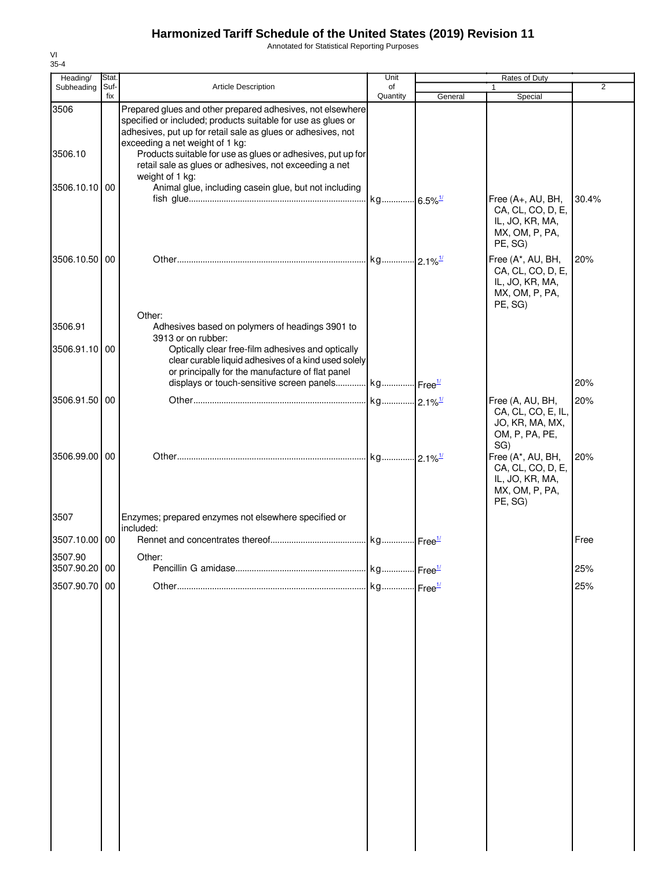## **Harmonized Tariff Schedule of the United States (2019) Revision 11**

Annotated for Statistical Reporting Purposes

| Heading/                 | Stat.       |                                                                                                                                                                                                                               | Unit           | Rates of Duty |                                                                                        |       |
|--------------------------|-------------|-------------------------------------------------------------------------------------------------------------------------------------------------------------------------------------------------------------------------------|----------------|---------------|----------------------------------------------------------------------------------------|-------|
| Subheading               | Suf-<br>fix | <b>Article Description</b>                                                                                                                                                                                                    | of<br>Quantity | General       | Special                                                                                | 2     |
| 3506                     |             | Prepared glues and other prepared adhesives, not elsewhere<br>specified or included; products suitable for use as glues or<br>adhesives, put up for retail sale as glues or adhesives, not<br>exceeding a net weight of 1 kg: |                |               |                                                                                        |       |
| 3506.10                  |             | Products suitable for use as glues or adhesives, put up for<br>retail sale as glues or adhesives, not exceeding a net<br>weight of 1 kg:                                                                                      |                |               |                                                                                        |       |
| 3506.10.10 00            |             | Animal glue, including casein glue, but not including                                                                                                                                                                         |                |               | Free (A+, AU, BH,<br>CA, CL, CO, D, E,<br>IL, JO, KR, MA,<br>MX, OM, P, PA,<br>PE, SG) | 30.4% |
| 3506.10.50 00            |             | Other:                                                                                                                                                                                                                        |                |               | Free (A*, AU, BH,<br>CA, CL, CO, D, E,<br>IL, JO, KR, MA,<br>MX, OM, P, PA,<br>PE, SG) | 20%   |
| 3506.91<br>3506.91.10 00 |             | Adhesives based on polymers of headings 3901 to<br>3913 or on rubber:<br>Optically clear free-film adhesives and optically                                                                                                    |                |               |                                                                                        |       |
|                          |             | clear curable liquid adhesives of a kind used solely<br>or principally for the manufacture of flat panel<br>displays or touch-sensitive screen panels kg Free <sup>1/</sup>                                                   |                |               |                                                                                        | 20%   |
| 3506.91.50 00            |             |                                                                                                                                                                                                                               |                |               | Free (A, AU, BH,<br>CA, CL, CO, E, IL,<br>JO, KR, MA, MX,<br>OM, P, PA, PE,<br>SG)     | 20%   |
| 3506.99.00 00            |             |                                                                                                                                                                                                                               |                |               | Free (A*, AU, BH,<br>CA, CL, CO, D, E,<br>IL, JO, KR, MA,<br>MX, OM, P, PA,<br>PE, SG) | 20%   |
| 3507                     |             | Enzymes; prepared enzymes not elsewhere specified or<br>included:                                                                                                                                                             |                |               |                                                                                        |       |
| 3507.10.00 00<br>3507.90 |             | Other:                                                                                                                                                                                                                        |                |               |                                                                                        | Free  |
| 3507.90.20 00            |             |                                                                                                                                                                                                                               |                |               |                                                                                        | 25%   |
| 3507.90.70 00            |             |                                                                                                                                                                                                                               |                |               |                                                                                        | 25%   |
|                          |             |                                                                                                                                                                                                                               |                |               |                                                                                        |       |

VI 35-4